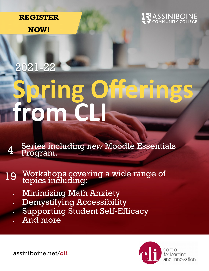### **REGISTER**

**NOW!**

## **SSINIBOINE**<br>DMMUNITY COLLEGE

# **Spring Offerings from CLI** 2021-22

Series including *new* Moodle Essentials Program. 4

#### Workshops covering a wide range of topics including: 19

- Minimizing Math Anxiety
- Demystifying Accessibility
- Supporting Student Self-Efficacy
- And more



assiniboine.net/**cli**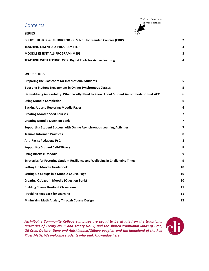#### **Contents**

Click a title to jump to more details!

| <b>SERIES</b>                                                             | ノハ                      |
|---------------------------------------------------------------------------|-------------------------|
| <b>COURSE DESIGN &amp; INSTRUCTOR PRESENCE for Blended Courses (CDIP)</b> | $\overline{\mathbf{2}}$ |
| <b>TEACHING ESSENTIALS PROGRAM (TEP)</b>                                  | 3                       |
| <b>MOODLE ESSENTIALS PROGRAM (MEP)</b>                                    | 3                       |
| <b>TEACHING WITH TECHNOLOGY: Digital Tools for Active Learning</b>        | 4                       |

#### **WORKSHOPS**

| Preparing the Classroom for International Students                                        | 5  |
|-------------------------------------------------------------------------------------------|----|
| <b>Boosting Student Engagement in Online Synchronous Classes</b>                          | 5  |
| Demystifying Accessibility: What Faculty Need to Know About Student Accommodations at ACC | 6  |
| <b>Using Moodle Completion</b>                                                            | 6  |
| <b>Backing Up and Restoring Moodle Pages</b>                                              | 6  |
| <b>Creating Moodle Seed Courses</b>                                                       | 7  |
| <b>Creating Moodle Question Bank</b>                                                      | 7  |
| Supporting Student Success with Online Asynchronous Learning Activities                   | 7  |
| <b>Trauma Informed Practices</b>                                                          | 8  |
| <b>Anti-Racist Pedagogy Pt 2</b>                                                          | 8  |
| <b>Supporting Student Self-Efficacy</b>                                                   | 8  |
| <b>Using Blocks in Moodle</b>                                                             | 9  |
| Strategies for Fostering Student Resilience and Wellbeing in Challenging Times            | 9  |
| <b>Setting Up Moodle Gradebook</b>                                                        | 10 |
| <b>Setting Up Groups in a Moodle Course Page</b>                                          | 10 |
| <b>Creating Quizzes in Moodle (Question Bank)</b>                                         | 10 |
| <b>Building Shame Resilient Classrooms</b>                                                | 11 |
| <b>Providing Feedback for Learning</b>                                                    | 11 |
| <b>Minimizing Math Anxiety Through Course Design</b>                                      | 12 |

*Assiniboine Community College campuses are proud to be situated on the traditional territories of Treaty No. 1 and Treaty No. 2, and the shared traditional lands of Cree, Oji-Cree, Dakota, Dene and Anishinabek/Ojibwe peoples, and the homeland of the Red River Métis. We welcome students who seek knowledge here.*

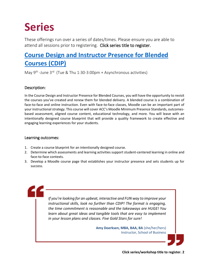## **Series**

These offerings run over a series of dates/times. Please ensure you are able to attend all sessions prior to registering. Click series title to register.

### <span id="page-2-0"></span>**[Course Design and Instructor Presence for Blended](https://forms.office.com/r/fKEtFBrLq0)  [Courses \(CDIP\)](https://forms.office.com/r/fKEtFBrLq0)**

May 9<sup>th</sup> -June 3<sup>rd</sup> (Tue & Thu 1:30-3:00pm + Asynchronous activities)

#### Description:

In the Course Design and Instructor Presence for Blended Courses, you will have the opportunity to revisit the courses you've created and renew them for blended delivery. A blended course is a combination of face-to-face and online instruction. Even with face-to-face classes, Moodle can be an important part of your instructional strategy. This course will cover ACC's Moodle Minimum Presence Standards, outcomesbased assessment, aligned course content, educational technology, and more. You will leave with an intentionally designed course blueprint that will provide a quality framework to create effective and engaging learning experiences for your students.

#### Learning outcomes:

- 1. Create a course blueprint for an intentionally designed course.
- 2. Determine which assessments and learning activities support student-centered learning in online and face-to-face contexts.
- 3. Develop a Moodle course page that establishes your instructor presence and sets students up for success.

*If you're looking for an upbeat, interactive and FUN way to improve your instructional skills, look no further than CDIP! The format is engaging, the time commitment is reasonable and the takeaways are HUGE! You learn about great ideas and tangible tools that are easy to implement in your lesson plans and classes. Five Gold Stars for sure!*

> **Amy Doerksen, MBA, BAA, BA** (she/her/hers) Instructor, School of Business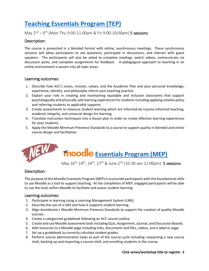### <span id="page-3-0"></span>**[Teaching Essentials Program \(TEP\)](https://forms.office.com/r/qGBGjX7iUH)**

#### May 2<sup>nd</sup> – 6<sup>th</sup> (Mon-Thu 9:00-11:00am & Fri 9:00-10:00am) 5 sessions

#### Description:

The course is presented in a blended format with online, synchronous meetings. These synchronous sessions will allow participants to ask questions, participate in discussions, and interact with guest speakers. The participants will also be asked to complete readings, watch videos, communicate via discussion posts, and complete assignments for feedback. A pedagogical approach to teaching in an online environment is woven into all topic areas.

#### Learning outcomes:

- 1. Describe how ACC's vision, mission, values, and the Academic Plan and your personal knowledge, experience, identity, and philosophy inform your teaching practice.
- 2. Explain your role in creating and maintaining equitable and inclusive classrooms that support psychologically and physically safe learning experiences for studentsincluding applying relative policy and referring students to applicable supports.
- 3. Create assessments to measure student learning which are informed by trauma informed teaching, academic integrity, and universal design for learning.
- 4. Translate instruction techniques into a lesson plan in order to create effective learning experiences for your students.
- 5. Apply the Moodle Minimum Presence Standards to a course to support quality in blended and online course design and facilitation.



## <span id="page-3-1"></span>**Fnoodle [Essentials Program \(MEP\)](https://forms.office.com/r/uCjbZea2n6)**

May 16th, 19th, 24th, 27th & June 2nd (10:30-am-12:00pm) 5 sessions

#### Description:

The purpose of the Moodle Essentials Program (MEP) is to provide participants with the foundational skills to use Moodle as a tool to support teaching. At the completion of MEP, engaged participants will be able to use the tools within Moodle to facilitate and assess student learning.

- 1. Participate in learning using a Learning Management System (LMS).
- 2. Describe the use of a LMS and how it supports student learning.
- 3. Align Assiniboine's Moodle Minimum Presence Standards to support the creation of quality Moodle courses.
- 4. Create a categorized gradebook following an ACC course outline.
- 5. Create and use Moodle assessment tools including Quiz, Assignment, Journal, and Discussion Boards.
- 6. Add resources to a Moodle page including links, documents and files, videos, and a label or page.
- 7. Set up a gradebook to correctly calculate student grades.
- 8. Perform course administration tasks as part of the course cycle including: requesting a new course shell, backing up and importing a course shell, and enrolling students in the course.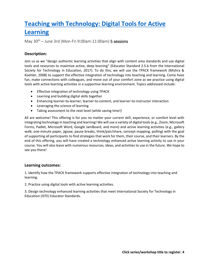### <span id="page-4-0"></span>**[Teaching with Technology: Digital Tools for Active](https://forms.office.com/r/biCz3niKEi)  [Learning](https://forms.office.com/r/biCz3niKEi)**

May  $30^{th}$  – June 3rd (Mon-Fri 9:00am-11:00am) 5 sessions

#### **Description:**

Join us as we "design authentic learning activities that align with content area standards and use digital tools and resources to maximize active, deep learning" (Educator Standard 2.5.b from the International Society for Technology in Education, 2017). To do this, we will use the TPACK framework (Mishra & Koehler, 2008) to support the effective integration of technology into teaching and learning. Come have fun, make connections with colleagues, and move out of your comfort zone as we practice using digital tools with active learning activities in a supportive learning environment. Topics addressed include:

- Effective integration of technology using TPACK
- Learning and building digital skills together
- Enhancing learner-to-learner, learner-to-content, and learner-to-instructor interaction
- Leveraging the science of learning
- Taking assessment to the next level (while saving time!)

All are welcome! This offering is for you no matter your current skill, experience, or comfort level with integrating technology in teaching and learning! We will use a variety of digital tools (e.g., Zoom, Microsoft Forms, Padlet, Microsoft Word, Google JamBoard, and more) and active learning activities (e.g., gallery walk, one-minute paper, jigsaw, pause breaks, think/pair/share, concept mapping, polling) with the goal of supporting all participants to find strategies that work for them, their course, and their learners. By the end of this offering, you will have created a technology enhanced active learning activity to use in your course. You will also leave with numerous resources, ideas, and activities to use in the future. We hope to see you there!

#### **Learning outcomes:**

1. Identify how the TPACK framework supports effective integration of technology into teaching and learning.

2. Practice using digital tools with active learning activities.

3. Design technology enhanced learning activities that meet International Society for Technology in Education (ISTE) Educator Standards.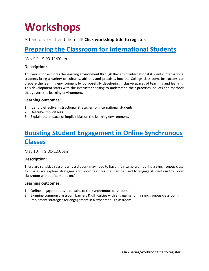## **Workshops**

Attend one or attend them all! **Click workshop title to register.**

### <span id="page-5-0"></span>**[Preparing the Classroom for International Students](https://forms.office.com/r/19b2nhSv7d)**

May 9<sup>th</sup> | 9:00-11:00am

#### **Description:**

This workshop explores the learning environment through the lens of international students. International students bring a variety of cultures, abilities and practises into the College classroom. Instructors can prepare the learning environment by purposefully developing inclusive spaces of teaching and learning. This development starts with the instructor seeking to understand their practises, beliefs and methods that govern the learning environment.

#### **Learning outcomes:**

- 1. Identify effective Instructional Strategies for international students.
- 2. Describe implicit bias.
- 3. Explain the impacts of implicit bias on the learning environment.

### <span id="page-5-1"></span>**[Boosting Student Engagement in Online Synchronous](https://forms.office.com/r/19b2nhSv7d)  [Classes](https://forms.office.com/r/19b2nhSv7d)**

May  $10^{th}$  | 9:00-10:00am

#### **Description:**

There are sensitive reasons why a student may need to have their camera off during a synchronous class. Join us as we explore strategies and Zoom features that can be used to engage students in the Zoom classroom without "cameras on."

- 1. Define engagement as it pertains to the synchronous classroom.
- 2. Examine common classroom barriers & difficulties with engagement in a synchronous classroom.
- 3. Implement strategies for engagement in a synchronous classroom.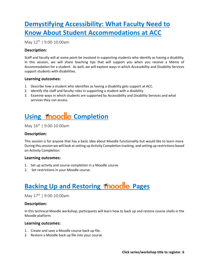### <span id="page-6-0"></span>**[Demystifying Accessibility: What Faculty Need to](https://forms.office.com/r/19b2nhSv7d)  [Know About Student Accommodations at ACC](https://forms.office.com/r/19b2nhSv7d)**

May 12<sup>th</sup> | 9:00-10:00am

#### **Description:**

Staff and faculty will at some point be involved in supporting students who identify as having a disability. In this session, we will share teaching tips that will support you when you receive a Memo of Accommodation for a student. As well, we will explore ways in which Accessibility and Disability Services support students with disabilities.

#### **Learning outcomes:**

- 1. Describe how a student who identifies as having a disability gets support at ACC.
- 2. Identify the staff and faculty roles in supporting a student with a disability.
- 3. Examine ways in which students are supported by Accessibility and Disability Services and what services they can access.

### <span id="page-6-1"></span>**Using moodle [Completion](https://forms.office.com/r/19b2nhSv7d)**

May  $16^{th}$  | 9:00-10:00am

#### **Description:**

This session is for anyone that has a basic idea about Moodle functionality but would like to learn more. During this session we will look at setting up Activity Completion tracking, and setting up restrictions based on Activity Completion.

#### **Learning outcomes:**

- 1. Set up activity and course completion in a Moodle course.
- 2. Set restrictions in your Moodle course.

### <span id="page-6-2"></span>**Backing Up and Restoring Moodle Pages**

May  $17<sup>th</sup>$  | 9:00-10:00am

#### **Description:**

In this technical Moodle workshop, participants will learn how to back up and restore course shells in the Moodle platform.

- 1. Create and save a Moodle course back up file.
- 2. Restore a Moodle back up file into your course.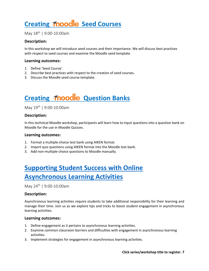### <span id="page-7-0"></span>**Creating Moodle Seed Courses**

May  $18^{th}$  | 9:00-10:00am

#### **Description:**

In this workshop we will introduce seed courses and their importance. We will discuss best practices with respect to seed courses and examine the Moodle seed template.

#### **Learning outcomes:**

- 1. Define 'Seed Course'.
- 2. Describe best practices with respect to the creation of seed courses.
- 3. Discuss the Moodle seed course template.

### **Creating Thoodle Question Banks**

May 19<sup>th</sup> | 9:00-10:00am

#### **Description:**

In this technical Moodle workshop, participants will learn how to input questions into a question bank on Moodle for the use in Moodle Quizzes.

#### **Learning outcomes:**

- 1. Format a multiple-choice test bank using AIKEN format.
- 2. Import quiz questions using AIKEN format into the Moodle test bank.
- 3. Add non-multiple-choice questions to Moodle manually.

### <span id="page-7-1"></span>**[Supporting Student Success with Online](https://forms.office.com/r/19b2nhSv7d) [Asynchronous Learning Activities](https://forms.office.com/r/19b2nhSv7d)**

May 24<sup>th</sup> | 9:00-10:00am

#### **Description:**

Asynchronous learning activities require students to take additional responsibility for their learning and manage their time. Join us as we explore tips and tricks to boost student engagement in asynchronous learning activities.

- 1. Define engagement as it pertains to asynchronous learning activities.
- 2. Examine common classroom barriers and difficulties with engagement in asynchronous learning activities.
- 3. Implement strategies for engagement in asynchronous learning activities.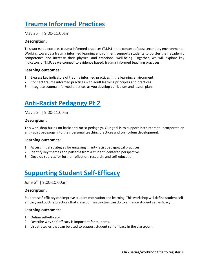### <span id="page-8-0"></span>**[Trauma Informed Practices](https://forms.office.com/r/19b2nhSv7d)**

May 25<sup>th</sup> | 9:00-11:00am

#### **Description:**

This workshop explores trauma informed practices (T.I.P.) in the context of post secondary environments. Working towards a trauma informed learning environment supports students to bolster their academic competence and increase their physical and emotional well-being. Together, we will explore key indicators of T.I.P. as we connect to evidence based, trauma informed teaching practises.

#### **Learning outcomes:**

- 1. Express key indicators of trauma informed practices in the learning environment.
- 2. Connect trauma informed practices with adult learning principles and practices.
- 3. Integrate trauma informed practices as you develop curriculum and lesson plan.

### <span id="page-8-1"></span>**[Anti-Racist Pedagogy Pt 2](https://forms.office.com/r/19b2nhSv7d)**

May 26<sup>th</sup> | 9:00-11:00am

#### **Description:**

This workshop builds on basic anti-racist pedagogy. Our goal is to support instructors to incorporate an anti-racist pedagogy into their personal teaching practices and curriculum development.

#### **Learning outcomes:**

- 1. Access initial strategies for engaging in anti-racist pedagogical practices.
- 2. Identify key themes and patterns from a student -centered perspective.
- 3. Develop sources for further reflection, research, and self-education.

### <span id="page-8-2"></span>**[Supporting Student Self-Efficacy](https://forms.office.com/r/19b2nhSv7d)**

June 6th | 9:00-10:00am

#### **Description:**

Student self-efficacy can improve student motivation and learning. This workshop will define student selfefficacy and outline practices that classroom instructors can do to enhance student self-efficacy.

- 1. Define self-efficacy.
- 2. Describe why self-efficacy is important for students.
- 3. List strategies that can be used to support student self-efficacy in the classroom.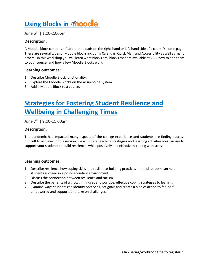### <span id="page-9-0"></span>**[Using Blocks in](https://forms.office.com/r/19b2nhSv7d) moodle**

June 6th | 1:00-2:00pm

#### **Description:**

A Moodle block contains a feature that loads on the right-hand or left-hand side of a course's home page. There are several types of Moodle blocks including Calendar, Quick Mail, and Accessibility as well as many others. In this workshop you will learn what blocks are, blocks that are available at ACC, how to add them to your course, and how a few Moodle Blocks work.

#### **Learning outcomes:**

- 1. Describe Moodle Block functionality.
- 2. Explore the Moodle Blocks on the Assiniboine system.
- 3. Add a Moodle Block to a course.

### <span id="page-9-1"></span>**[Strategies for Fostering Student Resilience and](https://forms.office.com/r/19b2nhSv7d)  [Wellbeing in Challenging Times](https://forms.office.com/r/19b2nhSv7d)**

June 7th | 9:00-10:00am

#### **Description:**

The pandemic has impacted many aspects of the college experience and students are finding success difficult to achieve. In this session, we will share teaching strategies and learning activities you can use to support your students to build resilience, while positively and effectively coping with stress.

- 1. Describe resilience how coping skills and resilience-building practices in the classroom can help students succeed in a post-secondary environment.
- 2. Discuss the connection between resilience and racism.
- 3. Describe the benefits of a growth mindset and positive, effective coping strategies to learning.
- 4. Examine ways students can identify obstacles, set goals and create a plan of action to feel selfempowered and supported to take on challenges.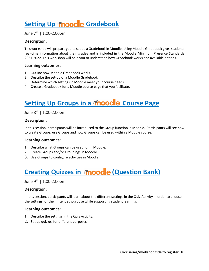### <span id="page-10-0"></span>**Setting Up Moodle Gradebook**

June 7th | 1:00-2:00pm

#### **Description:**

This workshop will prepare you to set up a Gradebook in Moodle. Using Moodle Gradebook gives students real-time information about their grades and is included in the Moodle Minimum Presence Standards 2021-2022. This workshop will help you to understand how Gradebook works and available options.

#### **Learning outcomes:**

- 1. Outline how Moodle Gradebook works.
- 2. Describe the set-up of a Moodle Gradebook.
- 3. Determine which settings in Moodle meet your course needs.
- 4. Create a Gradebook for a Moodle course page that you facilitate.

### <span id="page-10-1"></span>**Setting Up Groups in a moodle Course Page**

#### June 8th | 1:00-2:00pm

#### **Description:**

In this session, participants will be introduced to the Group function in Moodle. Participants will see how to create Groups, use Groups and how Groups can be used within a Moodle course.

#### **Learning outcomes:**

- 1. Describe what Groups can be used for in Moodle.
- 2. Create Groups and/or Groupings in Moodle.
- 3. Use Groups to configure activities in Moodle.

### <span id="page-10-2"></span>**[Creating Quizzes in](https://forms.office.com/r/19b2nhSv7d) <b>Moodle** (Question Bank)

June 9th | 1:00-2:00pm

#### **Description:**

In this session, participants will learn about the different settings in the Quiz Activity in order to choose the settings for their intended purpose while supporting student learning.

- 1. Describe the settings in the Quiz Activity.
- 2. Set up quizzes for different purposes.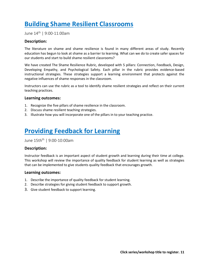### <span id="page-11-0"></span>**[Building Shame Resilient Classrooms](https://forms.office.com/r/19b2nhSv7d)**

June 14th | 9:00-11:00am

#### **Description:**

The literature on shame and shame resilience is found in many different areas of study. Recently education has begun to look at shame as a barrier to learning. What can we do to create safer spaces for our students and start to build shame resilient classrooms?

We have created The Shame Resilience Rubric, developed with 5 pillars: Connection, Feedback, Design, Developing Empathy, and Psychological Safety. Each pillar in the rubric provides evidence-based instructional strategies. These strategies support a learning environment that protects against the negative influences of shame responses in the classroom.

Instructors can use the rubric as a tool to identify shame resilient strategies and reflect on their current teaching practices.

#### **Learning outcomes:**

- 1. Recognize the five pillars of shame resilience in the classroom.
- 2. Discuss shame resilient teaching strategies.
- 3. Illustrate how you will incorporate one of the pillars in to your teaching practice.

### <span id="page-11-1"></span>**[Providing Feedback for Learning](https://forms.office.com/r/19b2nhSv7d)**

June 15th<sup>th</sup> | 9:00-10:00am

#### **Description:**

Instructor feedback is an important aspect of student growth and learning during their time at college. This workshop will review the importance of quality feedback for student learning as well as strategies that can be implemented to give students quality feedback that encourages growth.

- 1. Describe the importance of quality feedback for student learning.
- 2. Describe strategies for giving student feedback to support growth.
- 3. Give student feedback to support learning.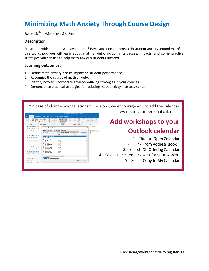### <span id="page-12-0"></span>**[Minimizing Math Anxiety Through Course Design](https://forms.office.com/r/19b2nhSv7d)**

June 16th | 9:00am-10:00am

#### **Description:**

Frustrated with students who avoid math? Have you seen an increase in student anxiety around math? In this workshop, you will learn about math anxiety, including its causes, impacts, and some practical strategies you can use to help math-anxious students succeed.

- 1. Define math anxiety and its impact on student performance.
- 2. Recognize the causes of math anxiety.
- 3. Identify how to incorporate anxiety-reducing strategies in your courses.
- 4. Demonstrate practical strategies for reducing math anxiety in assessments.

| g<br>Send / Receive                                                                  | CLI Offerings Calendar - Calendar - Outlook<br>Tell me what you want to do<br>View<br>Help<br>Folder                                                                                                                                                                        |                           | *In case of changes/cancellations to sessions, we encourage you to add the calendar<br>events to your personal calendar: |
|--------------------------------------------------------------------------------------|-----------------------------------------------------------------------------------------------------------------------------------------------------------------------------------------------------------------------------------------------------------------------------|---------------------------|--------------------------------------------------------------------------------------------------------------------------|
|                                                                                      | ш<br>$\cdots$<br>7 Days<br>Week<br>Go To<br>Arrange<br>Manage Calendar                                                                                                                                                                                                      |                           | Add workshops to your                                                                                                    |
| December 2021<br>SU MO TU WE TH ER SA<br>10 11<br>16 17 18<br>$12$ $13$ $14$<br>15   | $\times$<br>Select Name: Global Address List<br>Search: (@ Name only   C) More columns    Address Book<br><b>THURSDAY</b><br>CU offering<br>Global Address List - wiebs@Assiniboine.n v<br><b>Advanced Find</b><br>27<br>Name<br>Title<br><b>Business Phone</b><br>Location | Tomorrow<br>42° F / 37° F | <b>Outlook calendar</b>                                                                                                  |
| 22 23 24 25<br>19 20 21<br>26 27 28 29 30 31<br>January 2022<br>SU MO TU WE TH FR SA | <b>CUI Offerings Calenda</b><br><b>A&amp; ClientVPNUsers</b><br>MY-ACC<br>2. Cliff Armstrong<br>MILACC.<br>2. Cliff Fast<br>MY-ACC<br>2. Cliff Jones<br>MI-ACC<br>2. Cliff Kolach                                                                                           |                           | 1. Click on Open Calendar                                                                                                |
| 13 14 15<br>20 21 22                                                                 | MY-ACC<br>2. Cliff Lowenberger<br>MY-ACC<br><b>2. Cliff Waldner</b><br>MI-ACC<br><b>R. Cliff C. L.W. Walder</b><br>MY-ACC<br>2. Cliff Cyper Querido<br>MY-ACC<br><b>2. Cliff Darryl Houseman</b><br>MY-ACC<br>2. Cliff L. Waldner                                           |                           | 2. Click From Address Book<br>3. Search CLI Offering Calendar                                                            |
| 23 24 25 26 27 28 29<br>10 31 1 2 3 4 5<br>▲ My Calendars                            | MY-ACC<br>& Cliff Oberio Borres<br>MY-ACC<br>2. Cliff Wayne Schmidtke<br><b>3. Clifford Heinrichs</b><br>MY-ACC<br>CLI Offerings Calendar<br>Calendar                                                                                                                       |                           | 4. Select the calendar event for your session                                                                            |
| Calendar - wiebs@Assinib<br>Calendar - Continuing Stu.                               | Cancel<br>$\alpha$                                                                                                                                                                                                                                                          |                           | 5. Select Copy to My Calendar                                                                                            |